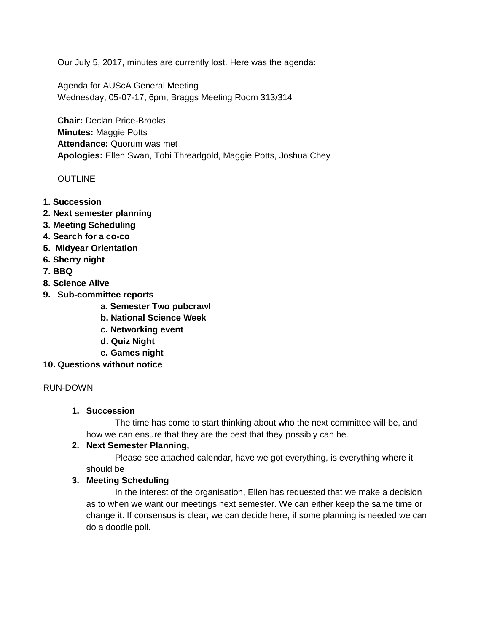Our July 5, 2017, minutes are currently lost. Here was the agenda:

Agenda for AUScA General Meeting Wednesday, 05-07-17, 6pm, Braggs Meeting Room 313/314

**Chair:** Declan Price-Brooks **Minutes:** Maggie Potts **Attendance:** Quorum was met **Apologies:** Ellen Swan, Tobi Threadgold, Maggie Potts, Joshua Chey

#### **OUTLINE**

- **1. Succession**
- **2. Next semester planning**
- **3. Meeting Scheduling**
- **4. Search for a co-co**
- **5. Midyear Orientation**
- **6. Sherry night**
- **7. BBQ**
- **8. Science Alive**
- **9. Sub-committee reports**
	- **a. Semester Two pubcrawl**
	- **b. National Science Week**
	- **c. Networking event**
	- **d. Quiz Night**
	- **e. Games night**
- **10. Questions without notice**

#### RUN-DOWN

### **1. Succession**

The time has come to start thinking about who the next committee will be, and how we can ensure that they are the best that they possibly can be.

#### **2. Next Semester Planning,**

Please see attached calendar, have we got everything, is everything where it should be

#### **3. Meeting Scheduling**

In the interest of the organisation, Ellen has requested that we make a decision as to when we want our meetings next semester. We can either keep the same time or change it. If consensus is clear, we can decide here, if some planning is needed we can do a doodle poll.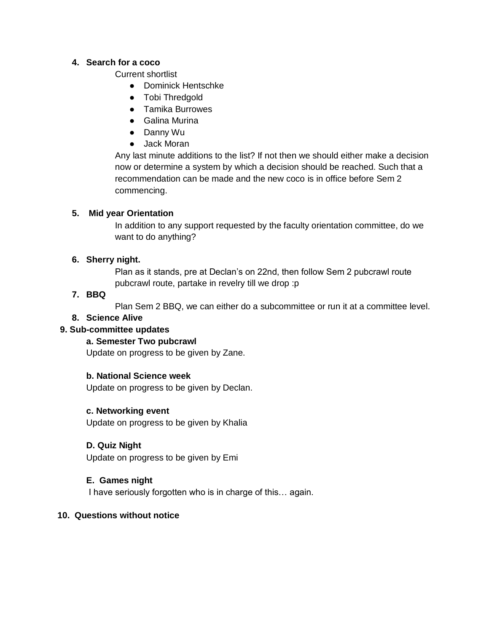### **4. Search for a coco**

Current shortlist

- Dominick Hentschke
- Tobi Thredgold
- Tamika Burrowes
- Galina Murina
- Danny Wu
- Jack Moran

Any last minute additions to the list? If not then we should either make a decision now or determine a system by which a decision should be reached. Such that a recommendation can be made and the new coco is in office before Sem 2 commencing.

## **5. Mid year Orientation**

In addition to any support requested by the faculty orientation committee, do we want to do anything?

# **6. Sherry night.**

Plan as it stands, pre at Declan's on 22nd, then follow Sem 2 pubcrawl route pubcrawl route, partake in revelry till we drop :p

# **7. BBQ**

Plan Sem 2 BBQ, we can either do a subcommittee or run it at a committee level.

# **8. Science Alive**

# **9. Sub-committee updates**

## **a. Semester Two pubcrawl**

Update on progress to be given by Zane.

## **b. National Science week**

Update on progress to be given by Declan.

## **c. Networking event**

Update on progress to be given by Khalia

## **D. Quiz Night**

Update on progress to be given by Emi

## **E. Games night**

I have seriously forgotten who is in charge of this… again.

## **10. Questions without notice**